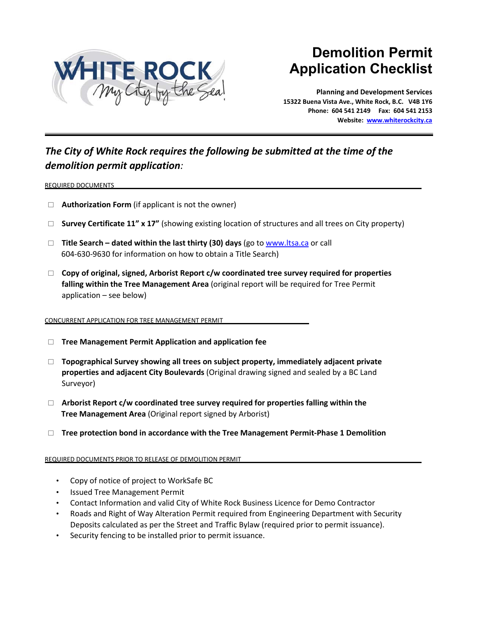

# **Demolition Permit Application Checklist**

**Planning and Development Services 15322 Buena Vista Ave., White Rock, B.C. V4B 1Y6 Phone: 604 541 2149 Fax: 604 541 2153 Website[: www.whiterockcity.ca](http://www.whiterockcity.ca/)**

## *The City of White Rock requires the following be submitted at the time of the demolition permit application:*

#### REQUIRED DOCUMENTS

- □ **Authorization Form** (if applicant is not the owner)
- **Survey Certificate 11" x 17"** (showing existing location of structures and all trees on City property)
- **Title Search – dated within the last thirty (30) days** (go t[o www.ltsa.ca](http://www.ltsa.ca/) or call 604-630-9630 for information on how to obtain a Title Search)
- **Copy of original, signed, Arborist Report c/w coordinated tree survey required for properties falling within the Tree Management Area** (original report will be required for Tree Permit application – see below)

#### CONCURRENT APPLICATION FOR TREE MANAGEMENT PERMIT

- **Tree Management Permit Application and application fee**
- **Topographical Survey showing all trees on subject property, immediately adjacent private properties and adjacent City Boulevards** (Original drawing signed and sealed by a BC Land Surveyor)
- **Arborist Report c/w coordinated tree survey required for properties falling within the Tree Management Area** (Original report signed by Arborist)
- □ Tree protection bond in accordance with the Tree Management Permit-Phase 1 Demolition

#### REQUIRED DOCUMENTS PRIOR TO RELEASE OF DEMOLITION PERMIT

- Copy of notice of project to WorkSafe BC
- Issued Tree Management Permit
- Contact Information and valid City of White Rock Business Licence for Demo Contractor
- Roads and Right of Way Alteration Permit required from Engineering Department with Security Deposits calculated as per the Street and Traffic Bylaw (required prior to permit issuance).
- Security fencing to be installed prior to permit issuance.